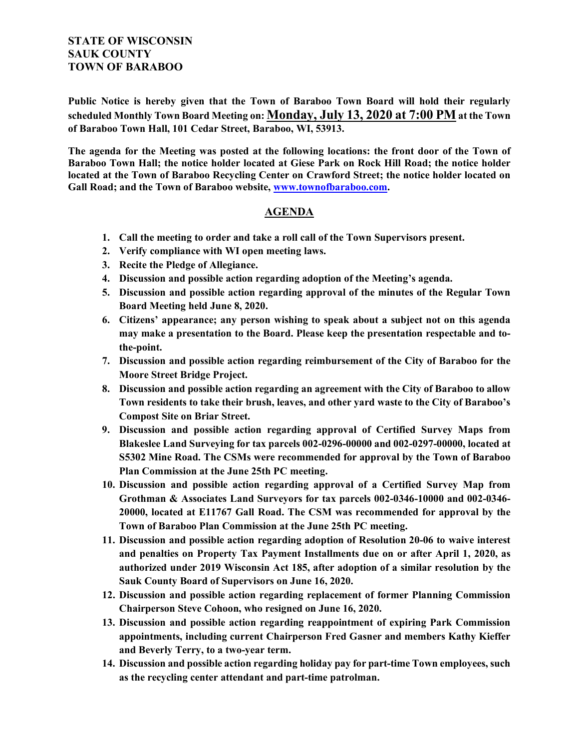**Public Notice is hereby given that the Town of Baraboo Town Board will hold their regularly**  scheduled Monthly Town Board Meeting on: Monday, July 13, 2020 at 7:00 PM at the Town **of Baraboo Town Hall, 101 Cedar Street, Baraboo, WI, 53913.**

**The agenda for the Meeting was posted at the following locations: the front door of the Town of Baraboo Town Hall; the notice holder located at Giese Park on Rock Hill Road; the notice holder located at the Town of Baraboo Recycling Center on Crawford Street; the notice holder located on Gall Road; and the Town of Baraboo website, [www.townofbaraboo.com.](about:blank)**

## **AGENDA**

- **1. Call the meeting to order and take a roll call of the Town Supervisors present.**
- **2. Verify compliance with WI open meeting laws.**
- **3. Recite the Pledge of Allegiance.**
- **4. Discussion and possible action regarding adoption of the Meeting's agenda.**
- **5. Discussion and possible action regarding approval of the minutes of the Regular Town Board Meeting held June 8, 2020.**
- **6. Citizens' appearance; any person wishing to speak about a subject not on this agenda may make a presentation to the Board. Please keep the presentation respectable and tothe-point.**
- **7. Discussion and possible action regarding reimbursement of the City of Baraboo for the Moore Street Bridge Project.**
- **8. Discussion and possible action regarding an agreement with the City of Baraboo to allow Town residents to take their brush, leaves, and other yard waste to the City of Baraboo's Compost Site on Briar Street.**
- **9. Discussion and possible action regarding approval of Certified Survey Maps from Blakeslee Land Surveying for tax parcels 002-0296-00000 and 002-0297-00000, located at S5302 Mine Road. The CSMs were recommended for approval by the Town of Baraboo Plan Commission at the June 25th PC meeting.**
- **10. Discussion and possible action regarding approval of a Certified Survey Map from Grothman & Associates Land Surveyors for tax parcels 002-0346-10000 and 002-0346- 20000, located at E11767 Gall Road. The CSM was recommended for approval by the Town of Baraboo Plan Commission at the June 25th PC meeting.**
- **11. Discussion and possible action regarding adoption of Resolution 20-06 to waive interest and penalties on Property Tax Payment Installments due on or after April 1, 2020, as authorized under 2019 Wisconsin Act 185, after adoption of a similar resolution by the Sauk County Board of Supervisors on June 16, 2020.**
- **12. Discussion and possible action regarding replacement of former Planning Commission Chairperson Steve Cohoon, who resigned on June 16, 2020.**
- **13. Discussion and possible action regarding reappointment of expiring Park Commission appointments, including current Chairperson Fred Gasner and members Kathy Kieffer and Beverly Terry, to a two-year term.**
- **14. Discussion and possible action regarding holiday pay for part-time Town employees, such as the recycling center attendant and part-time patrolman.**